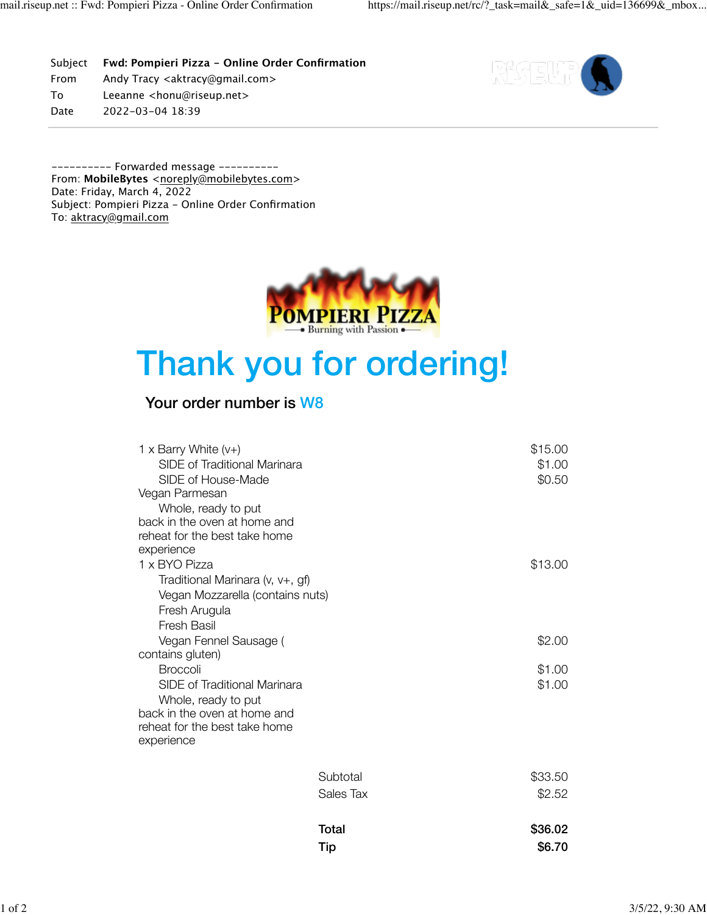Subject **Fwd: Pompieri Pizza - Online Order Confirmation** From Andy Tracy <aktracy@gmail.com> To Leeanne <honu@riseup.net> Date 2022-03-04 18:39



---------- Forwarded message --------- From: MobileBytes <[noreply@mobilebytes.com>](mailto:noreply@mobilebytes.com) Date: Friday, March 4, 2022 Subject: Pompieri Pizza - Online Order Confirmation To: [aktracy@gmail.com](mailto:aktracy@gmail.com)



# Thank you for ordering!

## Your order number is W8

| 1 x Barry White $(v+)$<br>SIDE of Traditional Marinara |           | \$15.00<br>\$1.00 |
|--------------------------------------------------------|-----------|-------------------|
| SIDE of House-Made<br>Vegan Parmesan                   |           | \$0.50            |
| Whole, ready to put                                    |           |                   |
| back in the oven at home and                           |           |                   |
| reheat for the best take home                          |           |                   |
| experience                                             |           |                   |
| 1 x BYO Pizza                                          |           | \$13.00           |
| Traditional Marinara (v, v+, gf)                       |           |                   |
| Vegan Mozzarella (contains nuts)                       |           |                   |
| Fresh Arugula                                          |           |                   |
| <b>Fresh Basil</b>                                     |           |                   |
| Vegan Fennel Sausage (                                 |           | \$2.00            |
| contains gluten)                                       |           |                   |
| <b>Broccoli</b>                                        |           | \$1.00            |
| SIDE of Traditional Marinara                           |           | \$1.00            |
| Whole, ready to put                                    |           |                   |
| back in the oven at home and                           |           |                   |
| reheat for the best take home                          |           |                   |
| experience                                             |           |                   |
|                                                        |           |                   |
|                                                        | Subtotal  | \$33.50           |
|                                                        | Sales Tax | \$2.52            |
|                                                        |           |                   |
|                                                        | Total     | \$36.02           |